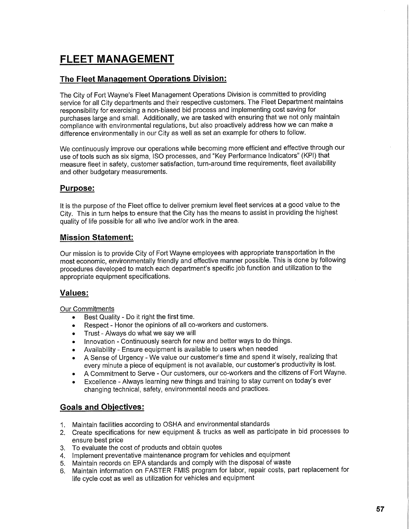# **FLEET MANAGEMENT**

## **The Fleet Management Operations Division:**

The City of Fort Wayne's Fleet Management Operations Division is committed to providing service for all City departments and their respective customers. The Fleet Department maintains responsibility for exercising a non-biased bid process and implementing cost saving for purchases large and small. Additionally, we are tasked with ensuring that we not only maintain compliance with environmental regulations, but also proactively address how we can make a difference environmentally in our City as well as set an example for others to follow.

We continuously improve our operations while becoming more efficient and effective through our use of tools such as six sigma, ISO processes, and "Key Performance Indicators" (KPI) that measure fleet in safety, customer satisfaction, turn-around time requirements, fleet availability and other budgetary measurements.

## **Purpose:**

It is the purpose of the Fleet office to deliver premium level fleet services at a good value to the City. This in turn helps to ensure that the City has the means to assist in providing the highest quality of life possible for all who live and/or work in the area.

## **Mission Statement:**

Our mission is to provide City of Fort Wayne employees with appropriate transportation in the most economic, environmentally friendly and effective manner possible. This is done by following procedures developed to match each department's specific job function and utilization to the appropriate equipment specifications.

## **Values:**

#### Our Commitments

- Best Quality Do it right the first time.
- Respect Honor the opinions of all co-workers and customers.
- Trust Always do what we say we will
- Innovation Continuously search for new and better ways to do things.
- Availability Ensure equipment is available to users when needed
- A Sense of Urgency We value our customer's time and spend it wisely, realizing that every minute a piece of equipment is not available, our customer's productivity is lost.
- **<sup>o</sup>** A Commitment to Serve Our customers, our co-workers and the citizens of Fort Wayne.
- Excellence Always learning new things and training to stay current on today's ever changing technical, safety, environmental needs and practices.

## **Goals and Objectives:**

- 1. Maintain facilities according to OSHA and environmental standards
- 2. Create specifications for new equipment & trucks as well as participate in bid processes to ensure best price
- 3. To evaluate the cost of products and obtain quotes
- 4. Implement preventative maintenance program for vehicles and equipment
- 5. Maintain records on EPA standards and comply with the disposal of waste
- 6. Maintain information on FASTER FMIS program for labor, repair costs, part replacement for life cycle cost as well as utilization for vehicles and equipment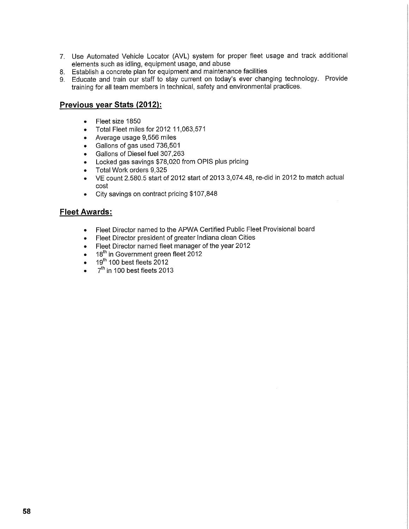- 7. Use Automated Vehicle Locator (AVL) system for proper fleet usage and track additional elements such as idling, equipment usage, and abuse
- 8. Establish a concrete plan for equipment and maintenance facilities
- 9. Educate and train our staff to stay current on today's ever changing technology. Provide training for all team members in technical, safety and environmental practices.

## **Previous year Stats (2012):**

- Fleet size 1850
- Total Fleet miles for 2012 11,063,571
- Average usage 9,556 miles
- Gallons of gas used 736,501
- Gallons of Diesel fuel 307,263
- » Locked gas savings \$78,020 from OPIS plus pricing
- Total Work orders 9,325
- VE count 2.580.5 start of 2012 start of 2013 3,074.48, re-did in 2012 to match actual cost
- City savings on contract pricing \$107,848

### **Fleet Awards:**

- Fleet Director named to the APWA Certified Public Fleet Provisional board
- Fleet Director president of greater Indiana clean Cities
- Fleet Director named fleet manager of the year 2012
- $\bullet$  18  $^{\circ}$  in Government green fleet 2012.
- $\bullet$  19 100 best fleets 2012
- $\bullet$  7  $\degree$  in 100 best fleets 2013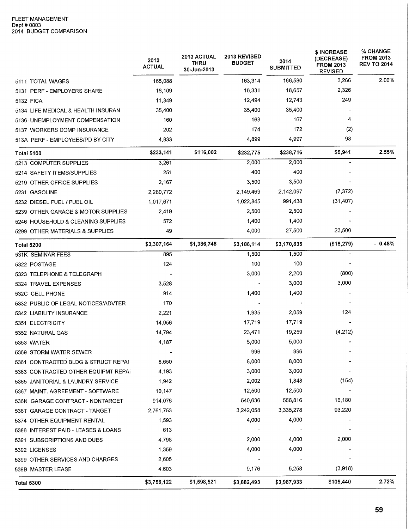|                                     | 2012<br><b>ACTUAL</b> | 2013 ACTUAL<br>THRU<br>30-Jun-2013 | 2013 REVISED<br><b>BUDGET</b> | 2014<br><b>SUBMITTED</b> | \$ INCREASE<br>(DECREASE)<br><b>FROM 2013</b><br><b>REVISED</b> | % CHANGE<br><b>FROM 2013</b><br><b>REV TO 2014</b> |
|-------------------------------------|-----------------------|------------------------------------|-------------------------------|--------------------------|-----------------------------------------------------------------|----------------------------------------------------|
| 5111 TOTAL WAGES                    | 165,088               |                                    | 163,314                       | 166,580                  | 3,266                                                           | 2.00%                                              |
| 5131 PERF - EMPLOYERS SHARE         | 16,109                |                                    | 16,331                        | 18,657                   | 2,326                                                           |                                                    |
| 5132 FICA                           | 11,349                |                                    | 12,494                        | 12,743                   | 249                                                             |                                                    |
| 5134 LIFE MEDICAL & HEALTH INSURAN  | 35,400                |                                    | 35,400                        | 35,400                   |                                                                 |                                                    |
| 5136 UNEMPLOYMENT COMPENSATION      | 160                   |                                    | 163                           | 167                      | 4                                                               |                                                    |
| 5137 WORKERS COMP INSURANCE         | 202                   |                                    | 174                           | 172                      | (2)                                                             |                                                    |
| 513A PERF - EMPLOYEES/PD BY CITY    | 4,833                 |                                    | 4,899                         | 4,997                    | 98                                                              |                                                    |
| <b>Total 5100</b>                   | \$233,141             | \$116,002                          | \$232,775                     | \$238,716                | \$5,941                                                         | 2.55%                                              |
| 5213 COMPUTER SUPPLIES              | 3,261                 |                                    | 2,000                         | 2,000                    |                                                                 |                                                    |
| 5214 SAFETY ITEMS/SUPPLIES          | 251                   |                                    | 400                           | 400                      |                                                                 |                                                    |
| 5219 OTHER OFFICE SUPPLIES          | 2,167                 |                                    | 3,500                         | 3,500                    |                                                                 |                                                    |
| 5231 GASOLINE                       | 2,280,772             |                                    | 2,149,469                     | 2,142,097                | (7, 372)                                                        |                                                    |
| 5232 DIESEL FUEL / FUEL OIL         | 1,017,671             |                                    | 1,022,845                     | 991,438                  | (31, 407)                                                       |                                                    |
| 5239 OTHER GARAGE & MOTOR SUPPLIES  | 2,419                 |                                    | 2,500                         | 2,500                    |                                                                 |                                                    |
| 5246 HOUSEHOLD & CLEANING SUPPLIES  | 572                   |                                    | 1,400                         | 1,400                    |                                                                 |                                                    |
| 5299 OTHER MATERIALS & SUPPLIES     | 49                    |                                    | 4,000                         | 27,500                   | 23,500                                                          |                                                    |
| <b>Total 5200</b>                   | \$3,307,164           | \$1,386,748                        | \$3,186,114                   | \$3,170,835              | (\$15,279)                                                      | $-0.48%$                                           |
| 531K SEMINAR FEES                   | 895                   |                                    | 1,500                         | 1,500                    |                                                                 |                                                    |
| 5322 POSTAGE                        | 124                   |                                    | 100                           | 100                      |                                                                 |                                                    |
| 5323 TELEPHONE & TELEGRAPH          |                       |                                    | 3,000                         | 2,200                    | (800)                                                           |                                                    |
| 5324 TRAVEL EXPENSES                | 3,528                 |                                    |                               | 3,000                    | 3,000                                                           |                                                    |
| 532C CELL PHONE                     | 914                   |                                    | 1,400                         | 1,400                    |                                                                 |                                                    |
| 5332 PUBLIC OF LEGAL NOTICES/ADVTER | 170                   |                                    |                               |                          |                                                                 |                                                    |
| 5342 LIABILITY INSURANCE            | 2,221                 |                                    | 1,935                         | 2,059                    | 124                                                             |                                                    |
| 5351 ELECTRICITY                    | 14,956                |                                    | 17,719                        | 17,719                   |                                                                 |                                                    |
| 5352 NATURAL GAS                    | 14,794                |                                    | 23,471                        | 19,259                   | (4,212)                                                         |                                                    |
| 5353 WATER                          | 4,187                 |                                    | 5,000                         | 5,000                    |                                                                 |                                                    |
| 5359 STORM WATER SEWER              |                       |                                    | 996                           | 996                      |                                                                 |                                                    |
| 5361 CONTRACTED BLDG & STRUCT REPAI | 8,650                 |                                    | 8,000                         | 8,000                    |                                                                 |                                                    |
| 5363 CONTRACTED OTHER EQUIPMT REPAI | 4,193                 |                                    | 3,000                         | 3,000                    |                                                                 |                                                    |
| 5365 JANITORIAL & LAUNDRY SERVICE   | 1,942                 |                                    | 2,002                         | 1,848                    | (154)                                                           |                                                    |
| 5367 MAINT. AGREEMENT - SOFTWARE    | 10,147                |                                    | 12,500                        | 12,500                   |                                                                 |                                                    |
| 536N GARAGE CONTRACT - NONTARGET    | 914,076               |                                    | 540,636                       | 556,816                  | 16,180                                                          |                                                    |
| 536T GARAGE CONTRACT - TARGET       | 2,761,753             |                                    | 3,242,058                     | 3,335,278                | 93,220                                                          |                                                    |
| 5374 OTHER EQUIPMENT RENTAL         | 1,593                 |                                    | 4,000                         | 4,000                    |                                                                 |                                                    |
| 5386 INTEREST PAID - LEASES & LOANS | 613                   |                                    |                               |                          |                                                                 |                                                    |
| 5391 SUBSCRIPTIONS AND DUES         | 4,798                 |                                    | 2,000                         | 4,000                    | 2,000                                                           |                                                    |
| 5392 LICENSES                       | 1,359                 |                                    | 4,000                         | 4,000                    |                                                                 |                                                    |
| 5399 OTHER SERVICES AND CHARGES     | 2,605                 |                                    |                               |                          |                                                                 |                                                    |
| 539B MASTER LEASE                   | 4,603                 |                                    | 9,176                         | 5,258                    | (3,918)                                                         |                                                    |
| <b>Total 5300</b>                   | \$3,758,122           | \$1,598,521                        | \$3,882,493                   | \$3,987,933              | \$105,440                                                       | 2.72%                                              |
|                                     |                       |                                    |                               |                          |                                                                 |                                                    |